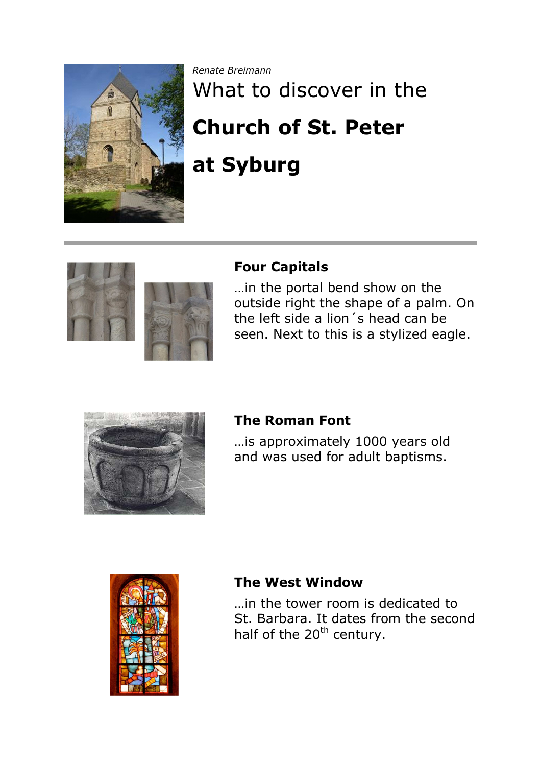

*Renate Breimann*

# What to discover in the **Church of St. Peter at Syburg**



## **Four Capitals**

…in the portal bend show on the outside right the shape of a palm. On the left side a lion´s head can be seen. Next to this is a stylized eagle.



### **The Roman Font**

…is approximately 1000 years old and was used for adult baptisms.



### **The West Window**

…in the tower room is dedicated to St. Barbara. It dates from the second half of the 20<sup>th</sup> century.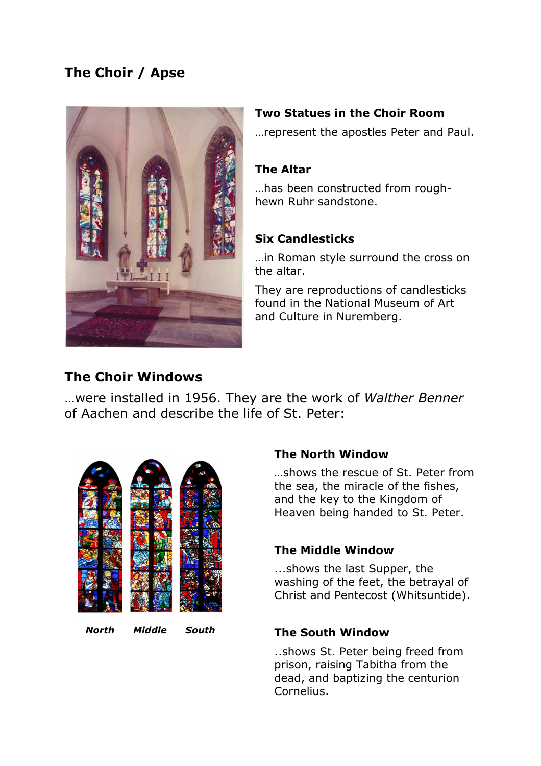# **The Choir / Apse**



#### **Two Statues in the Choir Room**

…represent the apostles Peter and Paul.

#### **The Altar**

…has been constructed from roughhewn Ruhr sandstone.

#### **Six Candlesticks**

…in Roman style surround the cross on the altar.

They are reproductions of candlesticks found in the National Museum of Art and Culture in Nuremberg.

# **The Choir Windows**

…were installed in 1956. They are the work of *Walther Benner* of Aachen and describe the life of St. Peter:



#### **The North Window**

…shows the rescue of St. Peter from the sea, the miracle of the fishes, and the key to the Kingdom of Heaven being handed to St. Peter.

#### **The Middle Window**

...shows the last Supper, the washing of the feet, the betrayal of Christ and Pentecost (Whitsuntide).

#### **The South Window**

..shows St. Peter being freed from prison, raising Tabitha from the dead, and baptizing the centurion Cornelius.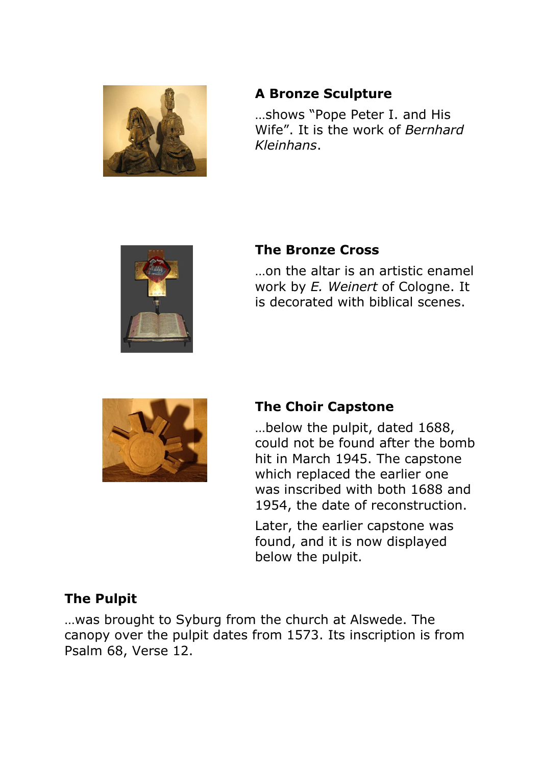

# **A Bronze Sculpture**

…shows "Pope Peter I. and His Wife". It is the work of *Bernhard Kleinhans*.



# **The Bronze Cross**

…on the altar is an artistic enamel work by *E. Weinert* of Cologne. It is decorated with biblical scenes.



# **The Choir Capstone**

…below the pulpit, dated 1688, could not be found after the bomb hit in March 1945. The capstone which replaced the earlier one was inscribed with both 1688 and 1954, the date of reconstruction.

Later, the earlier capstone was found, and it is now displayed below the pulpit.

# **The Pulpit**

…was brought to Syburg from the church at Alswede. The canopy over the pulpit dates from 1573. Its inscription is from Psalm 68, Verse 12.